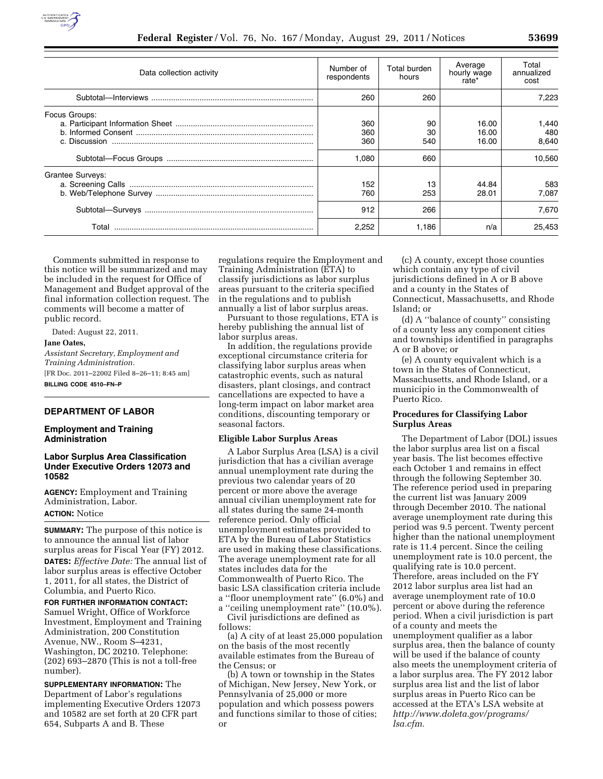

| Number of<br>respondents | Total burden<br>hours | Average<br>hourly wage<br>rate* | Total<br>annualized<br>cost |
|--------------------------|-----------------------|---------------------------------|-----------------------------|
| 260                      | 260                   |                                 | 7.223                       |
| 360<br>360<br>360        | 90<br>30<br>540       | 16.00<br>16.00<br>16.00         | 1.440<br>480<br>8,640       |
| 1.080                    | 660                   |                                 | 10.560                      |
| 152<br>760               | 13<br>253             | 44.84<br>28.01                  | 583<br>7.087                |
| 912                      | 266                   |                                 | 7.670                       |
| 2,252                    | 1.186                 | n/a                             | 25.453                      |
|                          |                       |                                 |                             |

Comments submitted in response to this notice will be summarized and may be included in the request for Office of Management and Budget approval of the final information collection request. The comments will become a matter of public record.

Dated: August 22, 2011.

#### **Jane Oates,**

*Assistant Secretary, Employment and Training Administration.*  [FR Doc. 2011–22002 Filed 8–26–11; 8:45 am] **BILLING CODE 4510–FN–P** 

## **DEPARTMENT OF LABOR**

# **Employment and Training Administration**

## **Labor Surplus Area Classification Under Executive Orders 12073 and 10582**

**AGENCY:** Employment and Training Administration, Labor. **ACTION:** Notice

**SUMMARY:** The purpose of this notice is to announce the annual list of labor surplus areas for Fiscal Year (FY) 2012. **DATES:** *Effective Date:* The annual list of labor surplus areas is effective October 1, 2011, for all states, the District of Columbia, and Puerto Rico.

**FOR FURTHER INFORMATION CONTACT:**  Samuel Wright, Office of Workforce Investment, Employment and Training Administration, 200 Constitution Avenue, NW., Room S–4231, Washington, DC 20210. Telephone: (202) 693–2870 (This is not a toll-free number).

**SUPPLEMENTARY INFORMATION:** The Department of Labor's regulations implementing Executive Orders 12073 and 10582 are set forth at 20 CFR part 654, Subparts A and B. These

regulations require the Employment and Training Administration (ETA) to classify jurisdictions as labor surplus areas pursuant to the criteria specified in the regulations and to publish annually a list of labor surplus areas.

Pursuant to those regulations, ETA is hereby publishing the annual list of labor surplus areas.

In addition, the regulations provide exceptional circumstance criteria for classifying labor surplus areas when catastrophic events, such as natural disasters, plant closings, and contract cancellations are expected to have a long-term impact on labor market area conditions, discounting temporary or seasonal factors.

### **Eligible Labor Surplus Areas**

A Labor Surplus Area (LSA) is a civil jurisdiction that has a civilian average annual unemployment rate during the previous two calendar years of 20 percent or more above the average annual civilian unemployment rate for all states during the same 24-month reference period. Only official unemployment estimates provided to ETA by the Bureau of Labor Statistics are used in making these classifications. The average unemployment rate for all states includes data for the Commonwealth of Puerto Rico. The basic LSA classification criteria include a ''floor unemployment rate'' (6.0%) and a ''ceiling unemployment rate'' (10.0%).

Civil jurisdictions are defined as follows:

(a) A city of at least 25,000 population on the basis of the most recently available estimates from the Bureau of the Census; or

(b) A town or township in the States of Michigan, New Jersey, New York, or Pennsylvania of 25,000 or more population and which possess powers and functions similar to those of cities; or

(c) A county, except those counties which contain any type of civil jurisdictions defined in A or B above and a county in the States of Connecticut, Massachusetts, and Rhode Island; or

(d) A ''balance of county'' consisting of a county less any component cities and townships identified in paragraphs A or B above; or

(e) A county equivalent which is a town in the States of Connecticut, Massachusetts, and Rhode Island, or a municipio in the Commonwealth of Puerto Rico.

#### **Procedures for Classifying Labor Surplus Areas**

The Department of Labor (DOL) issues the labor surplus area list on a fiscal year basis. The list becomes effective each October 1 and remains in effect through the following September 30. The reference period used in preparing the current list was January 2009 through December 2010. The national average unemployment rate during this period was 9.5 percent. Twenty percent higher than the national unemployment rate is 11.4 percent. Since the ceiling unemployment rate is 10.0 percent, the qualifying rate is 10.0 percent. Therefore, areas included on the FY 2012 labor surplus area list had an average unemployment rate of 10.0 percent or above during the reference period. When a civil jurisdiction is part of a county and meets the unemployment qualifier as a labor surplus area, then the balance of county will be used if the balance of county also meets the unemployment criteria of a labor surplus area. The FY 2012 labor surplus area list and the list of labor surplus areas in Puerto Rico can be accessed at the ETA's LSA website at *[http://www.doleta.gov/programs/](http://www.doleta.gov/programs/lsa.cfm) [lsa.cfm.](http://www.doleta.gov/programs/lsa.cfm)*